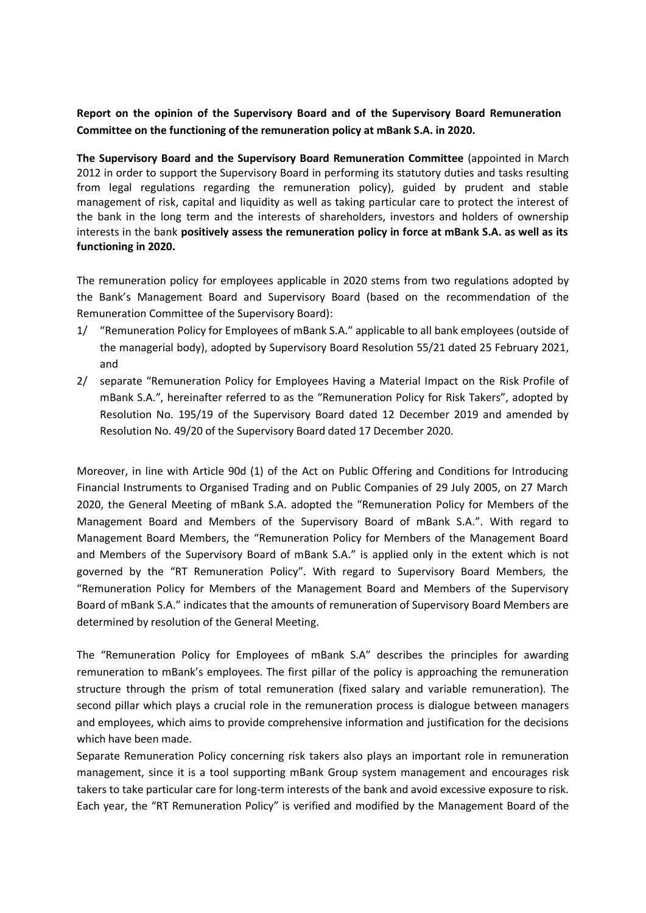**Report on the opinion of the Supervisory Board and of the Supervisory Board Remuneration Committee on the functioning of the remuneration policy at mBank S.A. in 2020.**

**The Supervisory Board and the Supervisory Board Remuneration Committee** (appointed in March 2012 in order to support the Supervisory Board in performing its statutory duties and tasks resulting from legal regulations regarding the remuneration policy), guided by prudent and stable management of risk, capital and liquidity as well as taking particular care to protect the interest of the bank in the long term and the interests of shareholders, investors and holders of ownership interests in the bank **positively assess the remuneration policy in force at mBank S.A. as well as its functioning in 2020.**

The remuneration policy for employees applicable in 2020 stems from two regulations adopted by the Bank's Management Board and Supervisory Board (based on the recommendation of the Remuneration Committee of the Supervisory Board):

- 1/ "Remuneration Policy for Employees of mBank S.A." applicable to all bank employees (outside of the managerial body), adopted by Supervisory Board Resolution 55/21 dated 25 February 2021, and
- 2/ separate "Remuneration Policy for Employees Having a Material Impact on the Risk Profile of mBank S.A.", hereinafter referred to as the "Remuneration Policy for Risk Takers", adopted by Resolution No. 195/19 of the Supervisory Board dated 12 December 2019 and amended by Resolution No. 49/20 of the Supervisory Board dated 17 December 2020.

Moreover, in line with Article 90d (1) of the Act on Public Offering and Conditions for Introducing Financial Instruments to Organised Trading and on Public Companies of 29 July 2005, on 27 March 2020, the General Meeting of mBank S.A. adopted the "Remuneration Policy for Members of the Management Board and Members of the Supervisory Board of mBank S.A.". With regard to Management Board Members, the "Remuneration Policy for Members of the Management Board and Members of the Supervisory Board of mBank S.A." is applied only in the extent which is not governed by the "RT Remuneration Policy". With regard to Supervisory Board Members, the "Remuneration Policy for Members of the Management Board and Members of the Supervisory Board of mBank S.A." indicates that the amounts of remuneration of Supervisory Board Members are determined by resolution of the General Meeting.

The "Remuneration Policy for Employees of mBank S.A" describes the principles for awarding remuneration to mBank's employees. The first pillar of the policy is approaching the remuneration structure through the prism of total remuneration (fixed salary and variable remuneration). The second pillar which plays a crucial role in the remuneration process is dialogue between managers and employees, which aims to provide comprehensive information and justification for the decisions which have been made.

Separate Remuneration Policy concerning risk takers also plays an important role in remuneration management, since it is a tool supporting mBank Group system management and encourages risk takers to take particular care for long-term interests of the bank and avoid excessive exposure to risk. Each year, the "RT Remuneration Policy" is verified and modified by the Management Board of the